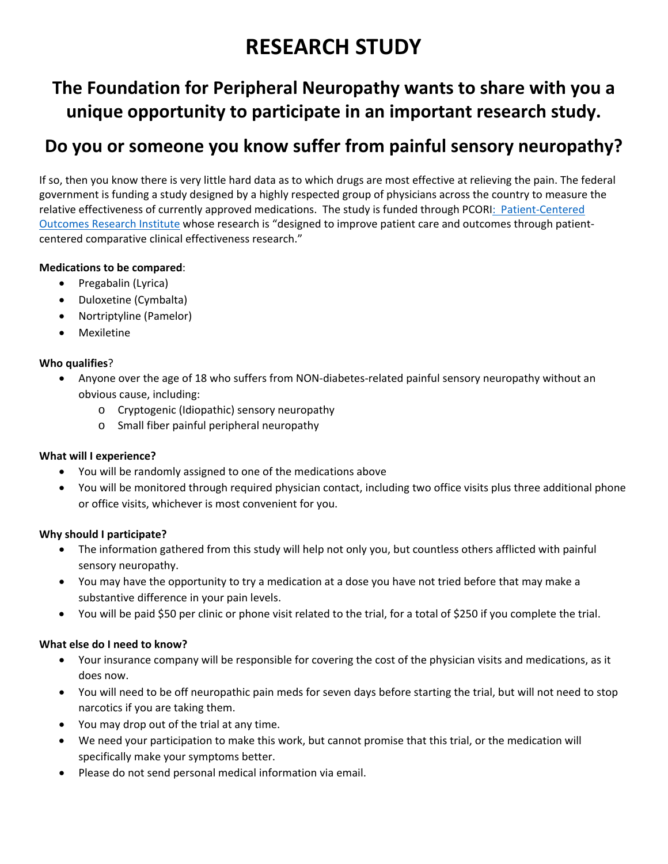# **RESEARCH STUDY**

## **The Foundation for Peripheral Neuropathy wants to share with you a unique opportunity to participate in an important research study.**

### **Do you or someone you know suffer from painful sensory neuropathy?**

If so, then you know there is very little hard data as to which drugs are most effective at relieving the pain. The federal government is funding a study designed by a highly respected group of physicians across the country to measure the relative effectiveness of currently approved medications. The study is funded through PCORI: Patient‐Centered Outcomes Research Institute whose research is "designed to improve patient care and outcomes through patient‐ centered comparative clinical effectiveness research."

### **Medications to be compared**:

- Pregabalin (Lyrica)
- Duloxetine (Cymbalta)
- Nortriptyline (Pamelor)
- Mexiletine

#### **Who qualifies**?

- Anyone over the age of 18 who suffers from NON‐diabetes‐related painful sensory neuropathy without an obvious cause, including:
	- o Cryptogenic (Idiopathic) sensory neuropathy
	- o Small fiber painful peripheral neuropathy

#### **What will I experience?**

- You will be randomly assigned to one of the medications above
- You will be monitored through required physician contact, including two office visits plus three additional phone or office visits, whichever is most convenient for you.

#### **Why should I participate?**

- The information gathered from this study will help not only you, but countless others afflicted with painful sensory neuropathy.
- You may have the opportunity to try a medication at a dose you have not tried before that may make a substantive difference in your pain levels.
- You will be paid \$50 per clinic or phone visit related to the trial, for a total of \$250 if you complete the trial.

#### **What else do I need to know?**

- Your insurance company will be responsible for covering the cost of the physician visits and medications, as it does now.
- You will need to be off neuropathic pain meds for seven days before starting the trial, but will not need to stop narcotics if you are taking them.
- You may drop out of the trial at any time.
- We need your participation to make this work, but cannot promise that this trial, or the medication will specifically make your symptoms better.
- Please do not send personal medical information via email.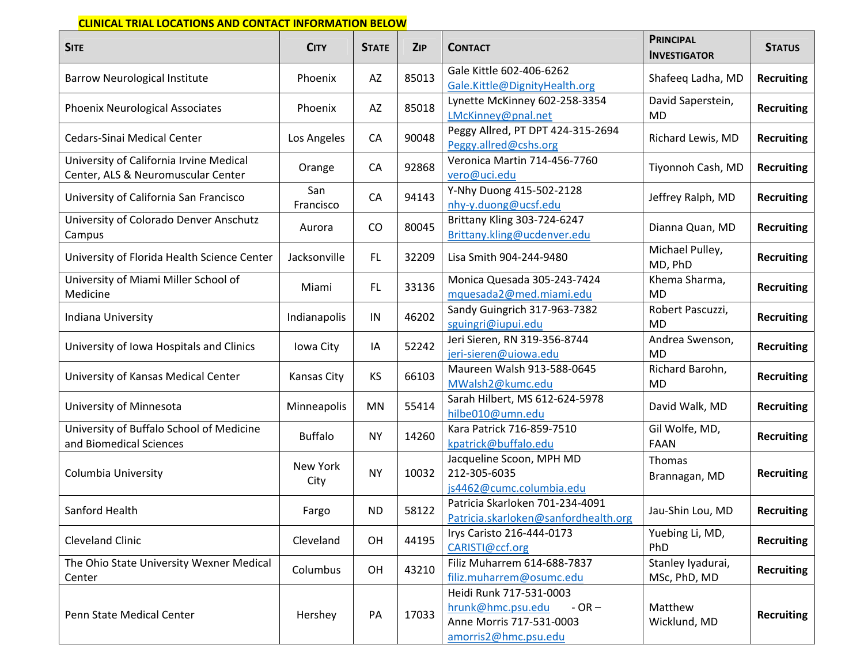#### **CLINICAL TRIAL LOCATIONS AND CONTACT INFORMATION BELOW**

| <b>SITE</b>                                                                   | <b>CITY</b>      | <b>STATE</b> | ZIP   | <b>CONTACT</b>                                                                                              | <b>PRINCIPAL</b><br><b>INVESTIGATOR</b> | <b>STATUS</b>     |
|-------------------------------------------------------------------------------|------------------|--------------|-------|-------------------------------------------------------------------------------------------------------------|-----------------------------------------|-------------------|
| <b>Barrow Neurological Institute</b>                                          | Phoenix          | AZ           | 85013 | Gale Kittle 602-406-6262<br>Gale.Kittle@DignityHealth.org                                                   | Shafeeq Ladha, MD                       | <b>Recruiting</b> |
| Phoenix Neurological Associates                                               | Phoenix          | AZ           | 85018 | Lynette McKinney 602-258-3354<br>LMcKinney@pnal.net                                                         | David Saperstein,<br><b>MD</b>          | <b>Recruiting</b> |
| <b>Cedars-Sinai Medical Center</b>                                            | Los Angeles      | CA           | 90048 | Peggy Allred, PT DPT 424-315-2694<br>Peggy.allred@cshs.org                                                  | Richard Lewis, MD                       | <b>Recruiting</b> |
| University of California Irvine Medical<br>Center, ALS & Neuromuscular Center | Orange           | CA           | 92868 | Veronica Martin 714-456-7760<br>vero@uci.edu                                                                | Tiyonnoh Cash, MD                       | <b>Recruiting</b> |
| University of California San Francisco                                        | San<br>Francisco | CA           | 94143 | Y-Nhy Duong 415-502-2128<br>nhy-y.duong@ucsf.edu                                                            | Jeffrey Ralph, MD                       | <b>Recruiting</b> |
| University of Colorado Denver Anschutz<br>Campus                              | Aurora           | CO           | 80045 | Brittany Kling 303-724-6247<br>Brittany.kling@ucdenver.edu                                                  | Dianna Quan, MD                         | <b>Recruiting</b> |
| University of Florida Health Science Center                                   | Jacksonville     | FL.          | 32209 | Lisa Smith 904-244-9480                                                                                     | Michael Pulley,<br>MD, PhD              | <b>Recruiting</b> |
| University of Miami Miller School of<br>Medicine                              | Miami            | FL.          | 33136 | Monica Quesada 305-243-7424<br>mquesada2@med.miami.edu                                                      | Khema Sharma,<br><b>MD</b>              | <b>Recruiting</b> |
| Indiana University                                                            | Indianapolis     | IN           | 46202 | Sandy Guingrich 317-963-7382<br>sguingri@iupui.edu                                                          | Robert Pascuzzi,<br><b>MD</b>           | <b>Recruiting</b> |
| University of Iowa Hospitals and Clinics                                      | Iowa City        | IA           | 52242 | Jeri Sieren, RN 319-356-8744<br>jeri-sieren@uiowa.edu                                                       | Andrea Swenson,<br><b>MD</b>            | <b>Recruiting</b> |
| University of Kansas Medical Center                                           | Kansas City      | <b>KS</b>    | 66103 | Maureen Walsh 913-588-0645<br>MWalsh2@kumc.edu                                                              | Richard Barohn,<br><b>MD</b>            | <b>Recruiting</b> |
| University of Minnesota                                                       | Minneapolis      | MN           | 55414 | Sarah Hilbert, MS 612-624-5978<br>hilbe010@umn.edu                                                          | David Walk, MD                          | <b>Recruiting</b> |
| University of Buffalo School of Medicine<br>and Biomedical Sciences           | <b>Buffalo</b>   | <b>NY</b>    | 14260 | Kara Patrick 716-859-7510<br>kpatrick@buffalo.edu                                                           | Gil Wolfe, MD,<br><b>FAAN</b>           | <b>Recruiting</b> |
| Columbia University                                                           | New York<br>City | <b>NY</b>    | 10032 | Jacqueline Scoon, MPH MD<br>212-305-6035<br>js4462@cumc.columbia.edu                                        | Thomas<br>Brannagan, MD                 | <b>Recruiting</b> |
| Sanford Health                                                                | Fargo            | <b>ND</b>    | 58122 | Patricia Skarloken 701-234-4091<br>Patricia.skarloken@sanfordhealth.org                                     | Jau-Shin Lou, MD                        | <b>Recruiting</b> |
| <b>Cleveland Clinic</b>                                                       | Cleveland        | OH           | 44195 | Irys Caristo 216-444-0173<br>CARISTI@ccf.org                                                                | Yuebing Li, MD,<br>PhD                  | <b>Recruiting</b> |
| The Ohio State University Wexner Medical<br>Center                            | Columbus         | OH           | 43210 | Filiz Muharrem 614-688-7837<br>filiz.muharrem@osumc.edu                                                     | Stanley Iyadurai,<br>MSc, PhD, MD       | <b>Recruiting</b> |
| Penn State Medical Center                                                     | Hershey          | PA           | 17033 | Heidi Runk 717-531-0003<br>hrunk@hmc.psu.edu<br>$-OR -$<br>Anne Morris 717-531-0003<br>amorris2@hmc.psu.edu | Matthew<br>Wicklund, MD                 | <b>Recruiting</b> |